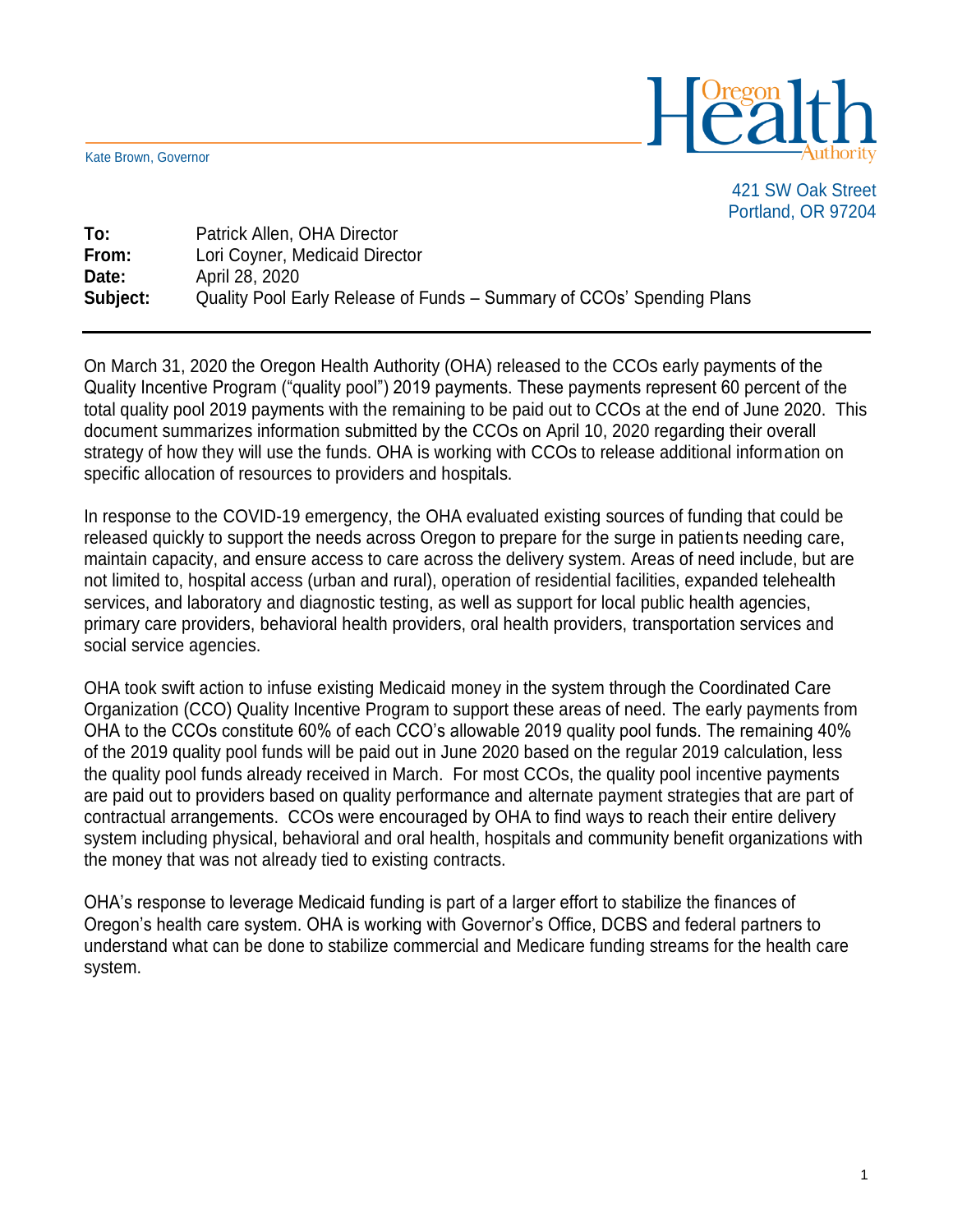Kate Brown, Governor



421 SW Oak Street Portland, OR 97204

**To:** Patrick Allen, OHA Director **From:** Lori Coyner, Medicaid Director **Date:** April 28, 2020 **Subject:** Quality Pool Early Release of Funds – Summary of CCOs' Spending Plans

On March 31, 2020 the Oregon Health Authority (OHA) released to the CCOs early payments of the Quality Incentive Program ("quality pool") 2019 payments. These payments represent 60 percent of the total quality pool 2019 payments with the remaining to be paid out to CCOs at the end of June 2020. This document summarizes information submitted by the CCOs on April 10, 2020 regarding their overall strategy of how they will use the funds. OHA is working with CCOs to release additional information on specific allocation of resources to providers and hospitals.

In response to the COVID-19 emergency, the OHA evaluated existing sources of funding that could be released quickly to support the needs across Oregon to prepare for the surge in patients needing care, maintain capacity, and ensure access to care across the delivery system. Areas of need include, but are not limited to, hospital access (urban and rural), operation of residential facilities, expanded telehealth services, and laboratory and diagnostic testing, as well as support for local public health agencies, primary care providers, behavioral health providers, oral health providers, transportation services and social service agencies.

OHA took swift action to infuse existing Medicaid money in the system through the Coordinated Care Organization (CCO) Quality Incentive Program to support these areas of need. The early payments from OHA to the CCOs constitute 60% of each CCO's allowable 2019 quality pool funds. The remaining 40% of the 2019 quality pool funds will be paid out in June 2020 based on the regular 2019 calculation, less the quality pool funds already received in March. For most CCOs, the quality pool incentive payments are paid out to providers based on quality performance and alternate payment strategies that are part of contractual arrangements. CCOs were encouraged by OHA to find ways to reach their entire delivery system including physical, behavioral and oral health, hospitals and community benefit organizations with the money that was not already tied to existing contracts.

OHA's response to leverage Medicaid funding is part of a larger effort to stabilize the finances of Oregon's health care system. OHA is working with Governor's Office, DCBS and federal partners to understand what can be done to stabilize commercial and Medicare funding streams for the health care system.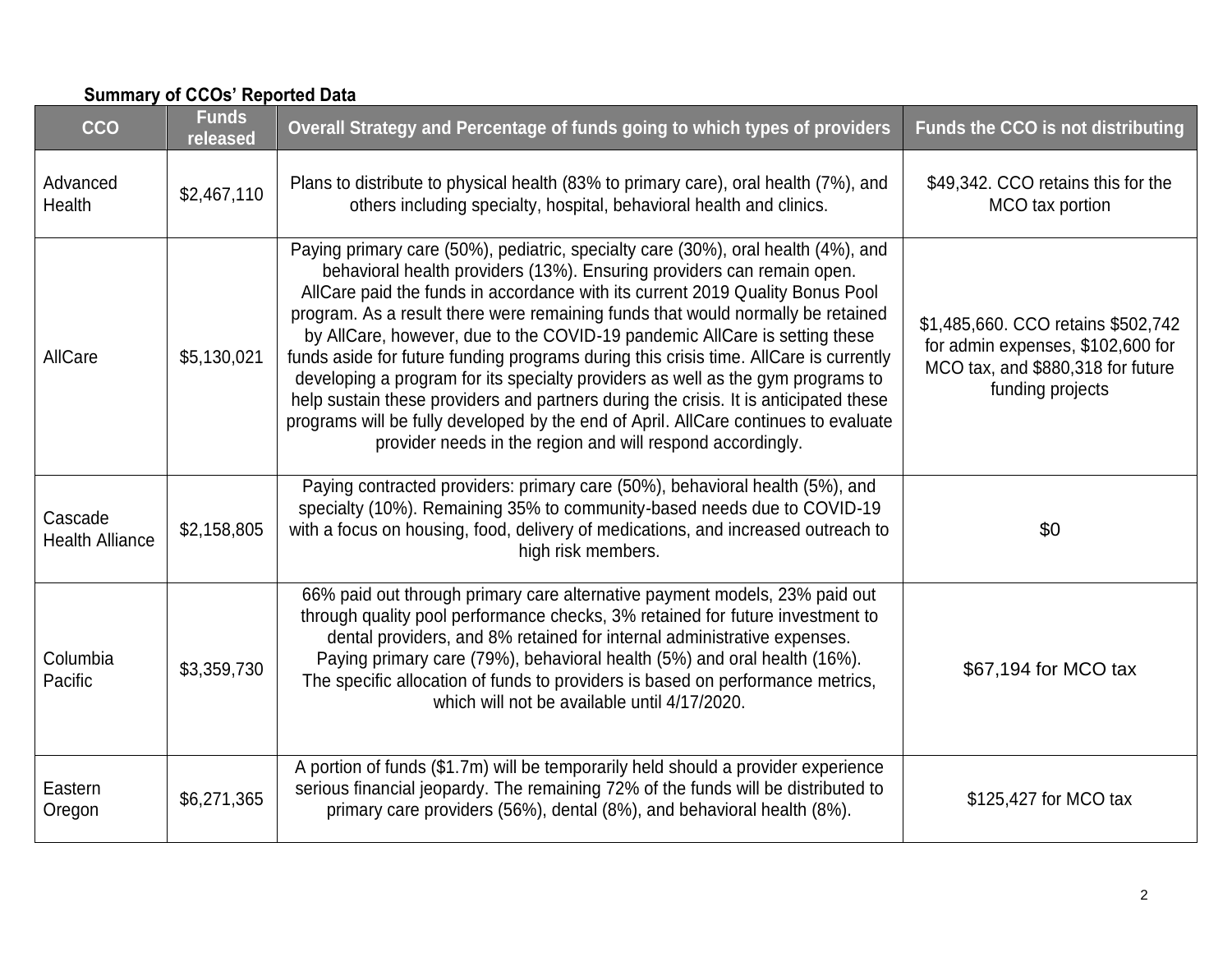| <b>CCO</b>                        | <b>Funds</b><br>released | Overall Strategy and Percentage of funds going to which types of providers                                                                                                                                                                                                                                                                                                                                                                                                                                                                                                                                                                                                                                                                                                                                                             | <b>Funds the CCO is not distributing</b>                                                                                         |
|-----------------------------------|--------------------------|----------------------------------------------------------------------------------------------------------------------------------------------------------------------------------------------------------------------------------------------------------------------------------------------------------------------------------------------------------------------------------------------------------------------------------------------------------------------------------------------------------------------------------------------------------------------------------------------------------------------------------------------------------------------------------------------------------------------------------------------------------------------------------------------------------------------------------------|----------------------------------------------------------------------------------------------------------------------------------|
| Advanced<br>Health                | \$2,467,110              | Plans to distribute to physical health (83% to primary care), oral health (7%), and<br>others including specialty, hospital, behavioral health and clinics.                                                                                                                                                                                                                                                                                                                                                                                                                                                                                                                                                                                                                                                                            | \$49,342. CCO retains this for the<br>MCO tax portion                                                                            |
| AllCare                           | \$5,130,021              | Paying primary care (50%), pediatric, specialty care (30%), oral health (4%), and<br>behavioral health providers (13%). Ensuring providers can remain open.<br>AllCare paid the funds in accordance with its current 2019 Quality Bonus Pool<br>program. As a result there were remaining funds that would normally be retained<br>by AllCare, however, due to the COVID-19 pandemic AllCare is setting these<br>funds aside for future funding programs during this crisis time. AllCare is currently<br>developing a program for its specialty providers as well as the gym programs to<br>help sustain these providers and partners during the crisis. It is anticipated these<br>programs will be fully developed by the end of April. AllCare continues to evaluate<br>provider needs in the region and will respond accordingly. | \$1,485,660. CCO retains \$502,742<br>for admin expenses, \$102,600 for<br>MCO tax, and \$880,318 for future<br>funding projects |
| Cascade<br><b>Health Alliance</b> | \$2,158,805              | Paying contracted providers: primary care (50%), behavioral health (5%), and<br>specialty (10%). Remaining 35% to community-based needs due to COVID-19<br>with a focus on housing, food, delivery of medications, and increased outreach to<br>high risk members.                                                                                                                                                                                                                                                                                                                                                                                                                                                                                                                                                                     | \$0                                                                                                                              |
| Columbia<br>Pacific               | \$3,359,730              | 66% paid out through primary care alternative payment models, 23% paid out<br>through quality pool performance checks, 3% retained for future investment to<br>dental providers, and 8% retained for internal administrative expenses.<br>Paying primary care (79%), behavioral health (5%) and oral health (16%).<br>The specific allocation of funds to providers is based on performance metrics,<br>which will not be available until 4/17/2020.                                                                                                                                                                                                                                                                                                                                                                                   | \$67,194 for MCO tax                                                                                                             |
| Eastern<br>Oregon                 | \$6,271,365              | A portion of funds (\$1.7m) will be temporarily held should a provider experience<br>serious financial jeopardy. The remaining 72% of the funds will be distributed to<br>primary care providers (56%), dental (8%), and behavioral health (8%).                                                                                                                                                                                                                                                                                                                                                                                                                                                                                                                                                                                       | \$125,427 for MCO tax                                                                                                            |

## **Summary of CCOs' Reported Data**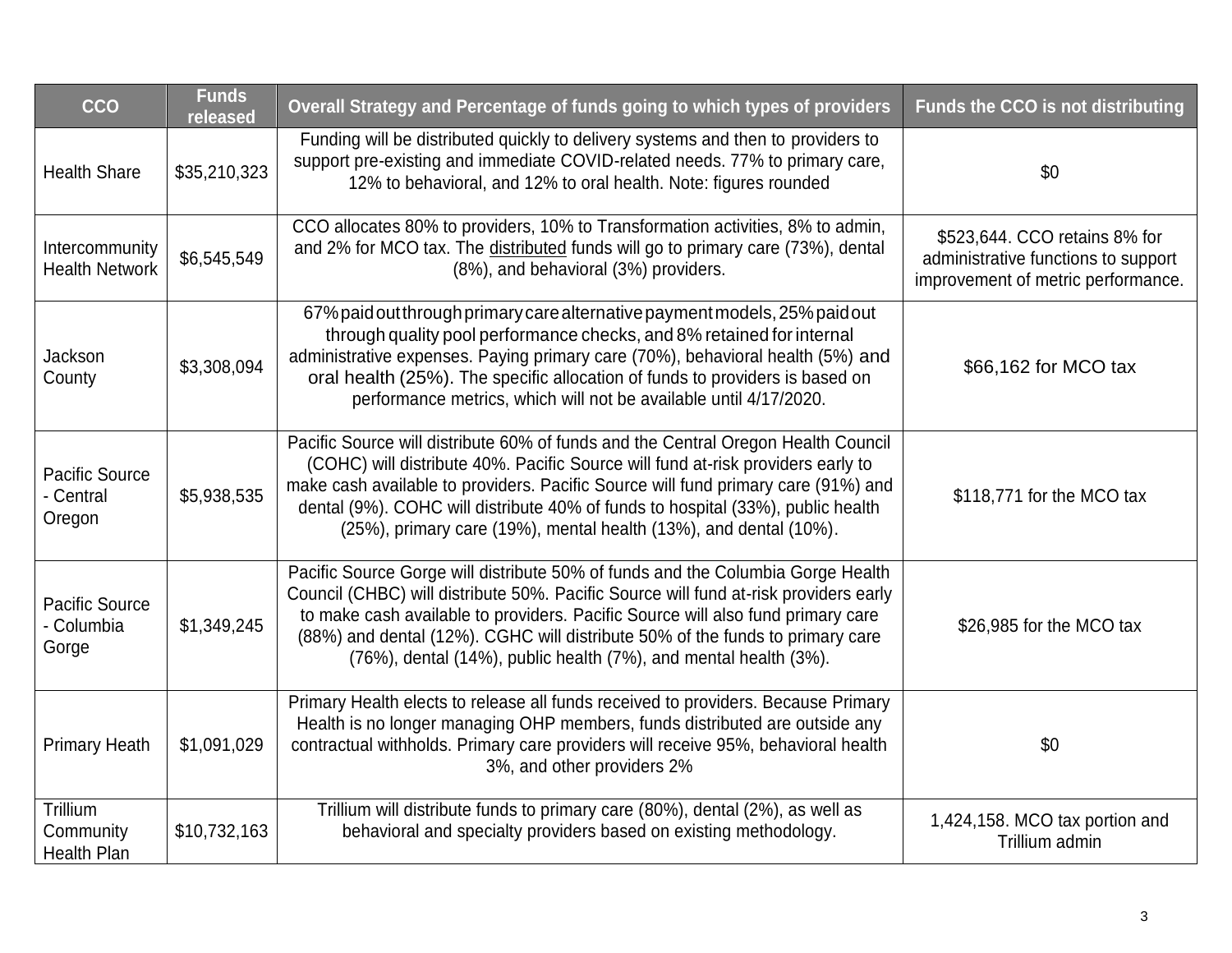| CCO                                         | <b>Funds</b><br>released | Overall Strategy and Percentage of funds going to which types of providers                                                                                                                                                                                                                                                                                                                                        | <b>Funds the CCO is not distributing</b>                                                                   |
|---------------------------------------------|--------------------------|-------------------------------------------------------------------------------------------------------------------------------------------------------------------------------------------------------------------------------------------------------------------------------------------------------------------------------------------------------------------------------------------------------------------|------------------------------------------------------------------------------------------------------------|
| <b>Health Share</b>                         | \$35,210,323             | Funding will be distributed quickly to delivery systems and then to providers to<br>support pre-existing and immediate COVID-related needs. 77% to primary care,<br>12% to behavioral, and 12% to oral health. Note: figures rounded                                                                                                                                                                              | \$0                                                                                                        |
| Intercommunity<br><b>Health Network</b>     | \$6,545,549              | CCO allocates 80% to providers, 10% to Transformation activities, 8% to admin,<br>and 2% for MCO tax. The distributed funds will go to primary care (73%), dental<br>(8%), and behavioral (3%) providers.                                                                                                                                                                                                         | \$523,644. CCO retains 8% for<br>administrative functions to support<br>improvement of metric performance. |
| Jackson<br>County                           | \$3,308,094              | 67% paid out through primary care alternative payment models, 25% paid out<br>through quality pool performance checks, and 8% retained for internal<br>administrative expenses. Paying primary care (70%), behavioral health (5%) and<br>oral health (25%). The specific allocation of funds to providers is based on<br>performance metrics, which will not be available until 4/17/2020.                        | \$66,162 for MCO tax                                                                                       |
| Pacific Source<br>- Central<br>Oregon       | \$5,938,535              | Pacific Source will distribute 60% of funds and the Central Oregon Health Council<br>(COHC) will distribute 40%. Pacific Source will fund at-risk providers early to<br>make cash available to providers. Pacific Source will fund primary care (91%) and<br>dental (9%). COHC will distribute 40% of funds to hospital (33%), public health<br>(25%), primary care (19%), mental health (13%), and dental (10%). | \$118,771 for the MCO tax                                                                                  |
| Pacific Source<br>- Columbia<br>Gorge       | \$1,349,245              | Pacific Source Gorge will distribute 50% of funds and the Columbia Gorge Health<br>Council (CHBC) will distribute 50%. Pacific Source will fund at-risk providers early<br>to make cash available to providers. Pacific Source will also fund primary care<br>(88%) and dental (12%). CGHC will distribute 50% of the funds to primary care<br>(76%), dental (14%), public health (7%), and mental health (3%).   | \$26,985 for the MCO tax                                                                                   |
| <b>Primary Heath</b>                        | \$1,091,029              | Primary Health elects to release all funds received to providers. Because Primary<br>Health is no longer managing OHP members, funds distributed are outside any<br>contractual withholds. Primary care providers will receive 95%, behavioral health<br>3%, and other providers 2%                                                                                                                               | \$0                                                                                                        |
| Trillium<br>Community<br><b>Health Plan</b> | \$10,732,163             | Trillium will distribute funds to primary care (80%), dental (2%), as well as<br>behavioral and specialty providers based on existing methodology.                                                                                                                                                                                                                                                                | 1,424,158. MCO tax portion and<br>Trillium admin                                                           |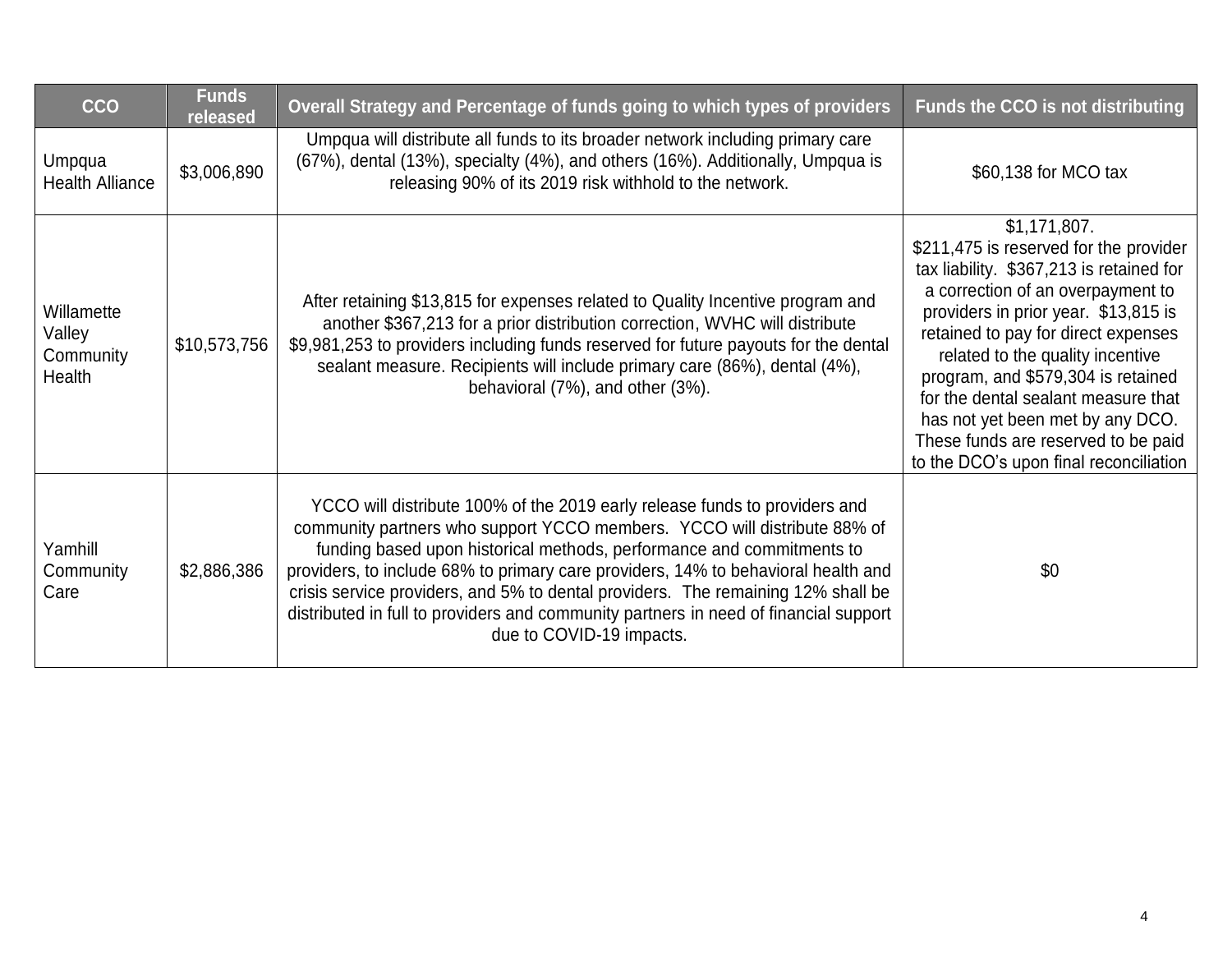| <b>CCO</b>                                  | <b>Funds</b><br>released | Overall Strategy and Percentage of funds going to which types of providers                                                                                                                                                                                                                                                                                                                                                                                                                                                   | <b>Funds the CCO is not distributing</b>                                                                                                                                                                                                                                                                                                                                                                                                                     |
|---------------------------------------------|--------------------------|------------------------------------------------------------------------------------------------------------------------------------------------------------------------------------------------------------------------------------------------------------------------------------------------------------------------------------------------------------------------------------------------------------------------------------------------------------------------------------------------------------------------------|--------------------------------------------------------------------------------------------------------------------------------------------------------------------------------------------------------------------------------------------------------------------------------------------------------------------------------------------------------------------------------------------------------------------------------------------------------------|
| Umpqua<br><b>Health Alliance</b>            | \$3,006,890              | Umpqua will distribute all funds to its broader network including primary care<br>(67%), dental (13%), specialty (4%), and others (16%). Additionally, Umpqua is<br>releasing 90% of its 2019 risk withhold to the network.                                                                                                                                                                                                                                                                                                  | \$60,138 for MCO tax                                                                                                                                                                                                                                                                                                                                                                                                                                         |
| Willamette<br>Valley<br>Community<br>Health | \$10,573,756             | After retaining \$13,815 for expenses related to Quality Incentive program and<br>another \$367,213 for a prior distribution correction, WVHC will distribute<br>\$9,981,253 to providers including funds reserved for future payouts for the dental<br>sealant measure. Recipients will include primary care (86%), dental (4%),<br>behavioral (7%), and other (3%).                                                                                                                                                        | \$1,171,807.<br>\$211,475 is reserved for the provider<br>tax liability. \$367,213 is retained for<br>a correction of an overpayment to<br>providers in prior year. \$13,815 is<br>retained to pay for direct expenses<br>related to the quality incentive<br>program, and \$579,304 is retained<br>for the dental sealant measure that<br>has not yet been met by any DCO.<br>These funds are reserved to be paid<br>to the DCO's upon final reconciliation |
| Yamhill<br>Community<br>Care                | \$2,886,386              | YCCO will distribute 100% of the 2019 early release funds to providers and<br>community partners who support YCCO members. YCCO will distribute 88% of<br>funding based upon historical methods, performance and commitments to<br>providers, to include 68% to primary care providers, 14% to behavioral health and<br>crisis service providers, and 5% to dental providers. The remaining 12% shall be<br>distributed in full to providers and community partners in need of financial support<br>due to COVID-19 impacts. | \$0                                                                                                                                                                                                                                                                                                                                                                                                                                                          |